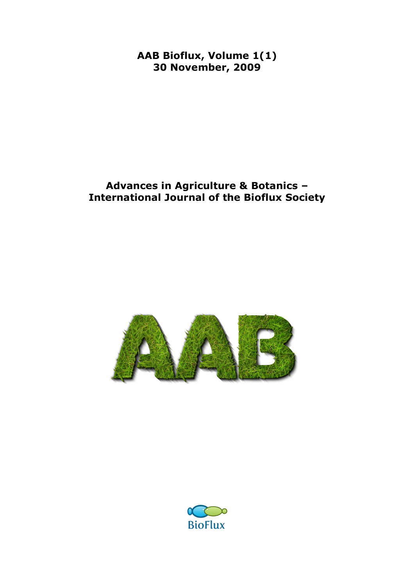**AAB Bioflux, Volume 1(1) 30 November, 2009**

## **Advances in Agriculture & Botanics – International Journal of the Bioflux Society**



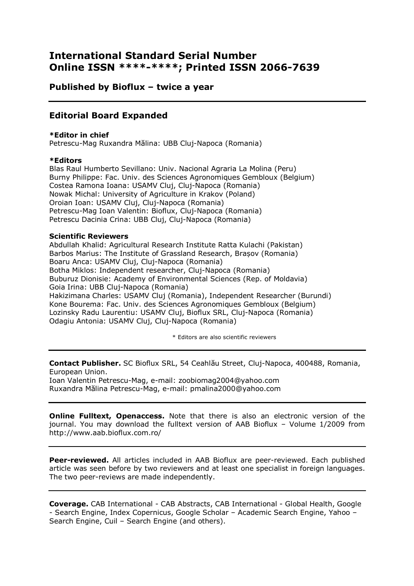### **International Standard Serial Number Online ISSN \*\*\*\*-\*\*\*\*; Printed ISSN 2066-7639**

**Published by Bioflux – twice a year**

### **Editorial Board Expanded**

#### **\*Editor in chief**

Petrescu-Mag Ruxandra Mălina: UBB Cluj-Napoca (Romania)

#### **\*Editors**

Blas Raul Humberto Sevillano: Univ. Nacional Agraria La Molina (Peru) Burny Philippe: Fac. Univ. des Sciences Agronomiques Gembloux (Belgium) Costea Ramona Ioana: USAMV Cluj, Cluj-Napoca (Romania) Nowak Michal: University of Agriculture in Krakov (Poland) Oroian Ioan: USAMV Cluj, Cluj-Napoca (Romania) Petrescu-Mag Ioan Valentin: Bioflux, Cluj-Napoca (Romania) Petrescu Dacinia Crina: UBB Cluj, Cluj-Napoca (Romania)

#### **Scientific Reviewers**

Abdullah Khalid: Agricultural Research Institute Ratta Kulachi (Pakistan) Barbos Marius: The Institute of Grassland Research, Brașov (Romania) Boaru Anca: USAMV Cluj, Cluj-Napoca (Romania) Botha Miklos: Independent researcher, Cluj-Napoca (Romania) Buburuz Dionisie: Academy of Environmental Sciences (Rep. of Moldavia) Goia Irina: UBB Cluj-Napoca (Romania) Hakizimana Charles: USAMV Cluj (Romania), Independent Researcher (Burundi) Kone Bourema: Fac. Univ. des Sciences Agronomiques Gembloux (Belgium) Lozinsky Radu Laurentiu: USAMV Cluj, Bioflux SRL, Cluj-Napoca (Romania) Odagiu Antonia: USAMV Cluj, Cluj-Napoca (Romania)

\* Editors are also scientific reviewers

**Contact Publisher.** SC Bioflux SRL, 54 Ceahlău Street, Cluj-Napoca, 400488, Romania, European Union.

Ioan Valentin Petrescu-Mag, e-mail: zoobiomag2004@yahoo.com Ruxandra Mălina Petrescu-Mag, e-mail: pmalina2000@yahoo.com

**Online Fulltext, Openaccess.** Note that there is also an electronic version of the journal. You may download the fulltext version of AAB Bioflux – Volume 1/2009 from http://www.aab.bioflux.com.ro/

**Peer-reviewed.** All articles included in AAB Bioflux are peer-reviewed. Each published article was seen before by two reviewers and at least one specialist in foreign languages. The two peer-reviews are made independently.

**Coverage.** CAB International - CAB Abstracts, CAB International - Global Health, Google - Search Engine, Index Copernicus, Google Scholar – Academic Search Engine, Yahoo – Search Engine, Cuil – Search Engine (and others).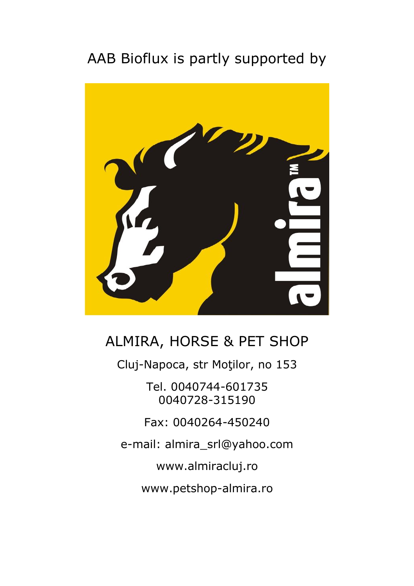# AAB Bioflux is partly supported by



## ALMIRA, HORSE & PET SHOP

Cluj-Napoca, str Moţilor, no 153

Tel. 0040744-601735 0040728-315190

Fax: 0040264-450240

e-mail: almira\_srl@yahoo.com

www.almiracluj.ro

www.petshop-almira.ro